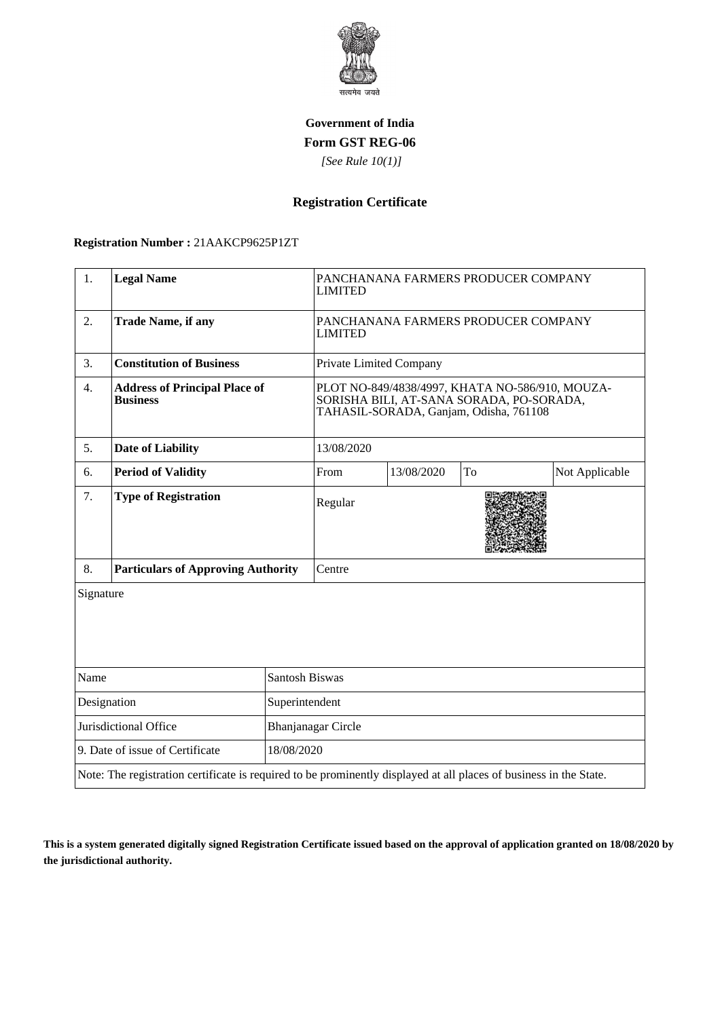

### **Government of India Form GST REG-06**

 *[See Rule 10(1)]*

# **Registration Certificate**

#### **Registration Number :** 21AAKCP9625P1ZT

| 1.                                                                                                                 | <b>Legal Name</b>                                       |                    | PANCHANANA FARMERS PRODUCER COMPANY<br><b>LIMITED</b>                                                                                 |            |    |                |  |
|--------------------------------------------------------------------------------------------------------------------|---------------------------------------------------------|--------------------|---------------------------------------------------------------------------------------------------------------------------------------|------------|----|----------------|--|
| 2.                                                                                                                 | <b>Trade Name, if any</b>                               |                    | PANCHANANA FARMERS PRODUCER COMPANY<br><b>LIMITED</b>                                                                                 |            |    |                |  |
| 3.                                                                                                                 | <b>Constitution of Business</b>                         |                    | Private Limited Company                                                                                                               |            |    |                |  |
| 4.                                                                                                                 | <b>Address of Principal Place of</b><br><b>Business</b> |                    | PLOT NO-849/4838/4997, KHATA NO-586/910, MOUZA-<br>SORISHA BILI, AT-SANA SORADA, PO-SORADA,<br>TAHASIL-SORADA, Ganjam, Odisha, 761108 |            |    |                |  |
| 5.                                                                                                                 | <b>Date of Liability</b>                                |                    | 13/08/2020                                                                                                                            |            |    |                |  |
| 6.                                                                                                                 | <b>Period of Validity</b>                               |                    | From                                                                                                                                  | 13/08/2020 | To | Not Applicable |  |
| 7.                                                                                                                 | <b>Type of Registration</b>                             |                    | Regular                                                                                                                               |            |    |                |  |
| 8.                                                                                                                 | <b>Particulars of Approving Authority</b>               |                    | Centre                                                                                                                                |            |    |                |  |
| Signature                                                                                                          |                                                         |                    |                                                                                                                                       |            |    |                |  |
| Name<br><b>Santosh Biswas</b>                                                                                      |                                                         |                    |                                                                                                                                       |            |    |                |  |
| Designation<br>Superintendent                                                                                      |                                                         |                    |                                                                                                                                       |            |    |                |  |
| Jurisdictional Office                                                                                              |                                                         | Bhanjanagar Circle |                                                                                                                                       |            |    |                |  |
| 9. Date of issue of Certificate<br>18/08/2020                                                                      |                                                         |                    |                                                                                                                                       |            |    |                |  |
| Note: The registration certificate is required to be prominently displayed at all places of business in the State. |                                                         |                    |                                                                                                                                       |            |    |                |  |

**This is a system generated digitally signed Registration Certificate issued based on the approval of application granted on 18/08/2020 by the jurisdictional authority.**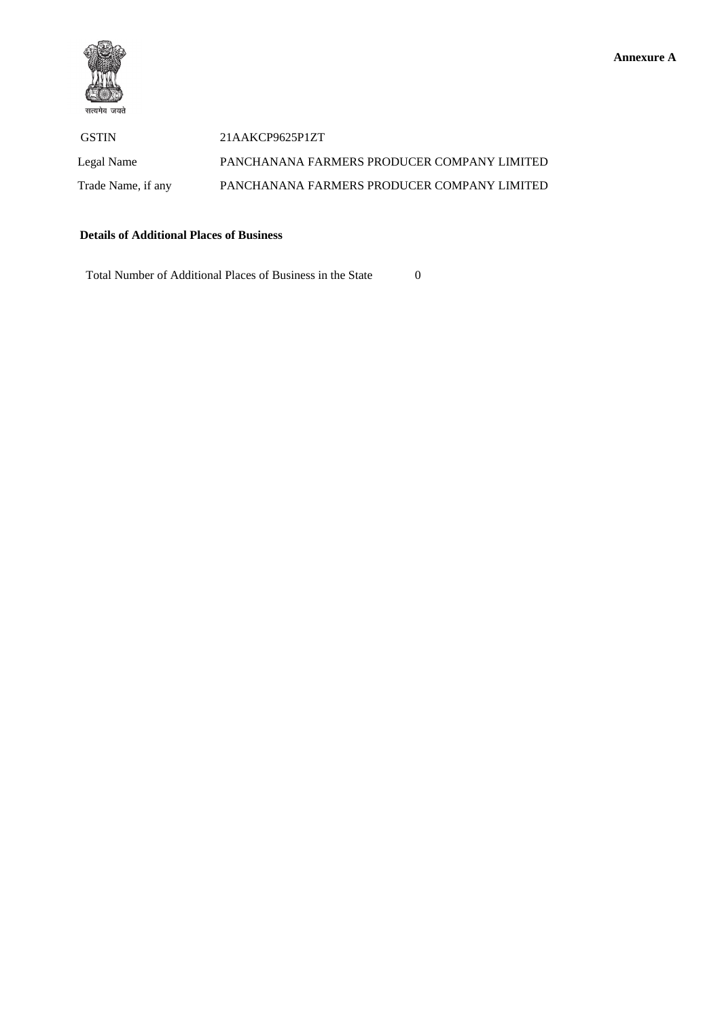

 GSTIN 21AAKCP9625P1ZT Legal Name PANCHANANA FARMERS PRODUCER COMPANY LIMITED Trade Name, if any PANCHANANA FARMERS PRODUCER COMPANY LIMITED

### **Details of Additional Places of Business**

Total Number of Additional Places of Business in the State 0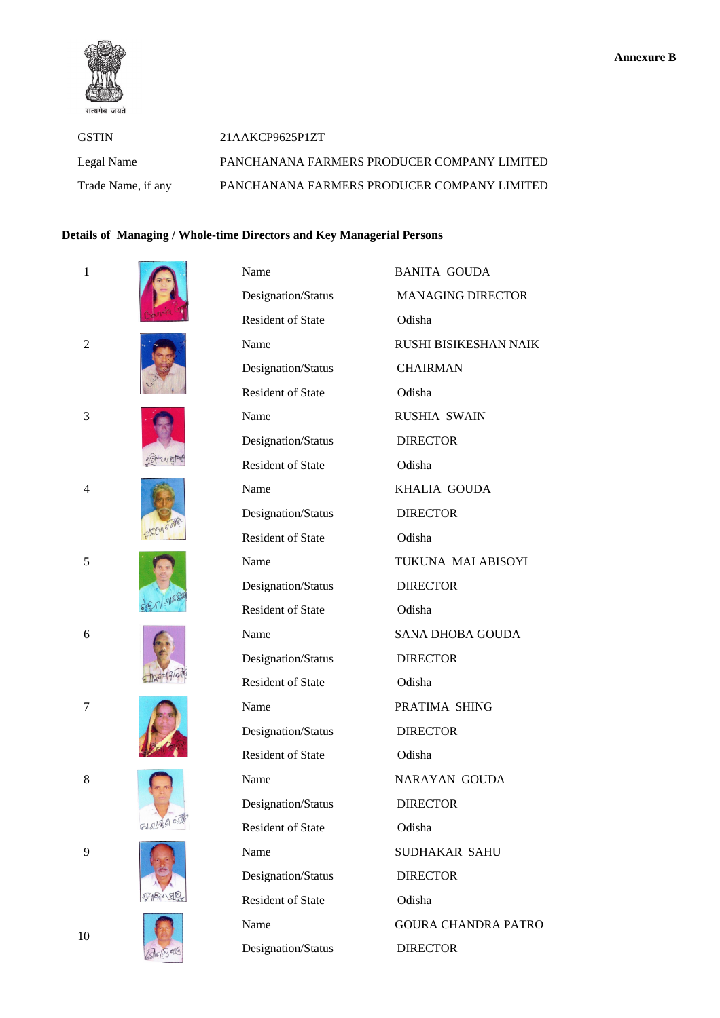

| <b>GSTIN</b>       | 21AAKCP9625P1ZT                             |
|--------------------|---------------------------------------------|
| Legal Name         | PANCHANANA FARMERS PRODUCER COMPANY LIMITED |
| Trade Name, if any | PANCHANANA FARMERS PRODUCER COMPANY LIMITED |

## **Details of Managing / Whole-time Directors and Key Managerial Persons**

| $\mathbf{1}$   |            | Name                     | <b>BANITA GOUDA</b>        |
|----------------|------------|--------------------------|----------------------------|
|                |            | Designation/Status       | <b>MANAGING DIRECTOR</b>   |
|                |            | Resident of State        | Odisha                     |
| $\overline{2}$ |            | Name                     | RUSHI BISIKESHAN NAIK      |
|                |            | Designation/Status       | <b>CHAIRMAN</b>            |
|                |            | Resident of State        | Odisha                     |
| 3              |            | Name                     | <b>RUSHIA SWAIN</b>        |
|                |            | Designation/Status       | <b>DIRECTOR</b>            |
|                |            | Resident of State        | Odisha                     |
| 4              | KDay 6 off | Name                     | KHALIA GOUDA               |
|                |            | Designation/Status       | <b>DIRECTOR</b>            |
|                |            | <b>Resident of State</b> | Odisha                     |
| 5              |            | Name                     | TUKUNA MALABISOYI          |
|                |            | Designation/Status       | <b>DIRECTOR</b>            |
|                |            | <b>Resident of State</b> | Odisha                     |
| 6              |            | Name                     | <b>SANA DHOBA GOUDA</b>    |
|                |            | Designation/Status       | <b>DIRECTOR</b>            |
|                |            | <b>Resident of State</b> | Odisha                     |
| 7              |            | Name                     | PRATIMA SHING              |
|                |            | Designation/Status       | <b>DIRECTOR</b>            |
|                |            | Resident of State        | Odisha                     |
| 8              |            | Name                     | <b>NARAYAN GOUDA</b>       |
|                |            | Designation/Status       | <b>DIRECTOR</b>            |
|                |            | Resident of State        | Odisha                     |
| 9              |            | Name                     | SUDHAKAR SAHU              |
|                |            | Designation/Status       | <b>DIRECTOR</b>            |
|                |            | <b>Resident of State</b> | Odisha                     |
| 10             |            | Name                     | <b>GOURA CHANDRA PATRO</b> |
|                |            | Designation/Status       | <b>DIRECTOR</b>            |